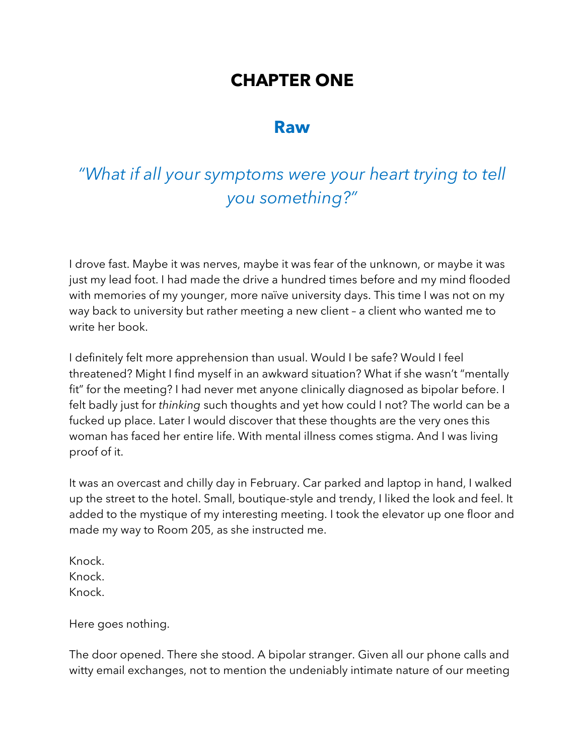## **CHAPTER ONE**

### **Raw**

# *"What if all your symptoms were your heart trying to tell you something?"*

I drove fast. Maybe it was nerves, maybe it was fear of the unknown, or maybe it was just my lead foot. I had made the drive a hundred times before and my mind flooded with memories of my younger, more naïve university days. This time I was not on my way back to university but rather meeting a new client – a client who wanted me to write her book.

I definitely felt more apprehension than usual. Would I be safe? Would I feel threatened? Might I find myself in an awkward situation? What if she wasn't "mentally fit" for the meeting? I had never met anyone clinically diagnosed as bipolar before. I felt badly just for *thinking* such thoughts and yet how could I not? The world can be a fucked up place. Later I would discover that these thoughts are the very ones this woman has faced her entire life. With mental illness comes stigma. And I was living proof of it.

It was an overcast and chilly day in February. Car parked and laptop in hand, I walked up the street to the hotel. Small, boutique-style and trendy, I liked the look and feel. It added to the mystique of my interesting meeting. I took the elevator up one floor and made my way to Room 205, as she instructed me.

Knock. Knock. Knock.

Here goes nothing.

The door opened. There she stood. A bipolar stranger. Given all our phone calls and witty email exchanges, not to mention the undeniably intimate nature of our meeting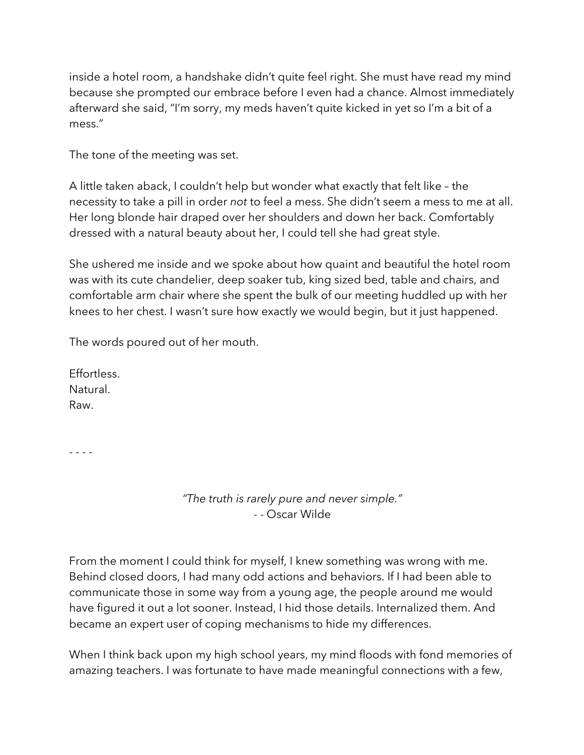inside a hotel room, a handshake didn't quite feel right. She must have read my mind because she prompted our embrace before I even had a chance. Almost immediately afterward she said, "I'm sorry, my meds haven't quite kicked in yet so I'm a bit of a mess."

The tone of the meeting was set.

A little taken aback, I couldn't help but wonder what exactly that felt like – the necessity to take a pill in order *not* to feel a mess. She didn't seem a mess to me at all. Her long blonde hair draped over her shoulders and down her back. Comfortably dressed with a natural beauty about her, I could tell she had great style.

She ushered me inside and we spoke about how quaint and beautiful the hotel room was with its cute chandelier, deep soaker tub, king sized bed, table and chairs, and comfortable arm chair where she spent the bulk of our meeting huddled up with her knees to her chest. I wasn't sure how exactly we would begin, but it just happened.

The words poured out of her mouth.

Effortless. Natural. Raw.

- - - -

*"The truth is rarely pure and never simple."* - - Oscar Wilde

From the moment I could think for myself, I knew something was wrong with me. Behind closed doors, I had many odd actions and behaviors. If I had been able to communicate those in some way from a young age, the people around me would have figured it out a lot sooner. Instead, I hid those details. Internalized them. And became an expert user of coping mechanisms to hide my differences.

When I think back upon my high school years, my mind floods with fond memories of amazing teachers. I was fortunate to have made meaningful connections with a few,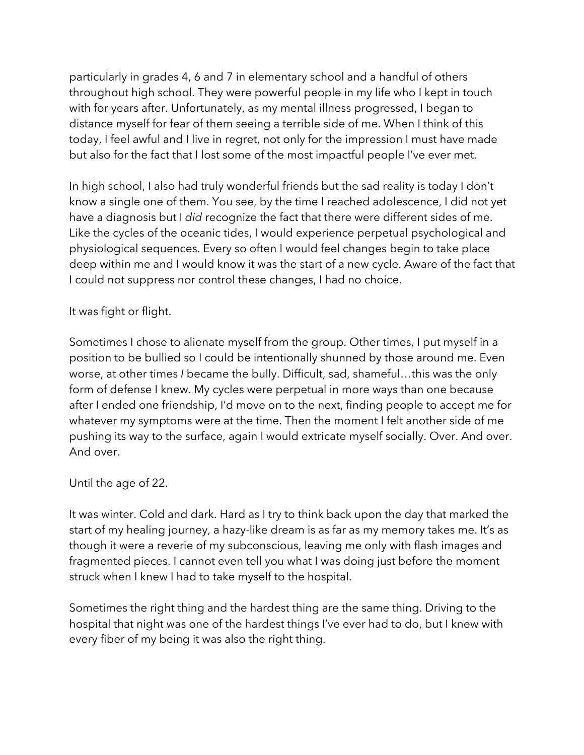particularly in grades 4, 6 and 7 in elementary school and a handful of others throughout high school. They were powerful people in my life who I kept in touch with for years after. Unfortunately, as my mental illness progressed, I began to distance myself for fear of them seeing a terrible side of me. When I think of this today, I feel awful and I live in regret, not only for the impression I must have made but also for the fact that I lost some of the most impactful people I've ever met.

In high school, I also had truly wonderful friends but the sad reality is today I don't know a single one of them. You see, by the time I reached adolescence, I did not yet have a diagnosis but I *did* recognize the fact that there were different sides of me. Like the cycles of the oceanic tides, I would experience perpetual psychological and physiological sequences. Every so often I would feel changes begin to take place deep within me and I would know it was the start of a new cycle. Aware of the fact that I could not suppress nor control these changes, I had no choice.

It was fight or flight.

Sometimes I chose to alienate myself from the group. Other times, I put myself in a position to be bullied so I could be intentionally shunned by those around me. Even worse, at other times *I* became the bully. Difficult, sad, shameful…this was the only form of defense I knew. My cycles were perpetual in more ways than one because after I ended one friendship, I'd move on to the next, finding people to accept me for whatever my symptoms were at the time. Then the moment I felt another side of me pushing its way to the surface, again I would extricate myself socially. Over. And over. And over.

Until the age of 22.

It was winter. Cold and dark. Hard as I try to think back upon the day that marked the start of my healing journey, a hazy-like dream is as far as my memory takes me. It's as though it were a reverie of my subconscious, leaving me only with flash images and fragmented pieces. I cannot even tell you what I was doing just before the moment struck when I knew I had to take myself to the hospital.

Sometimes the right thing and the hardest thing are the same thing. Driving to the hospital that night was one of the hardest things I've ever had to do, but I knew with every fiber of my being it was also the right thing.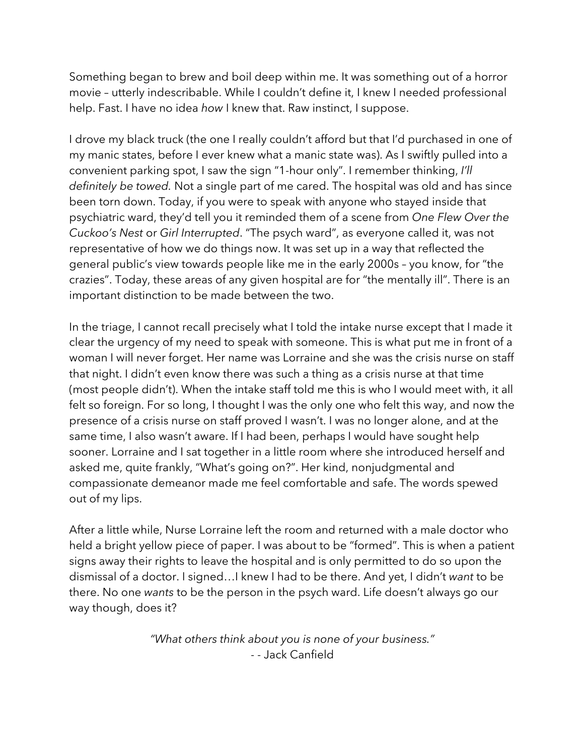Something began to brew and boil deep within me. It was something out of a horror movie – utterly indescribable. While I couldn't define it, I knew I needed professional help. Fast. I have no idea *how* I knew that. Raw instinct, I suppose.

I drove my black truck (the one I really couldn't afford but that I'd purchased in one of my manic states, before I ever knew what a manic state was). As I swiftly pulled into a convenient parking spot, I saw the sign "1-hour only". I remember thinking, *I'll definitely be towed.* Not a single part of me cared. The hospital was old and has since been torn down. Today, if you were to speak with anyone who stayed inside that psychiatric ward, they'd tell you it reminded them of a scene from *One Flew Over the Cuckoo's Nest* or *Girl Interrupted*. "The psych ward", as everyone called it, was not representative of how we do things now. It was set up in a way that reflected the general public's view towards people like me in the early 2000s – you know, for "the crazies". Today, these areas of any given hospital are for "the mentally ill". There is an important distinction to be made between the two.

In the triage, I cannot recall precisely what I told the intake nurse except that I made it clear the urgency of my need to speak with someone. This is what put me in front of a woman I will never forget. Her name was Lorraine and she was the crisis nurse on staff that night. I didn't even know there was such a thing as a crisis nurse at that time (most people didn't). When the intake staff told me this is who I would meet with, it all felt so foreign. For so long, I thought I was the only one who felt this way, and now the presence of a crisis nurse on staff proved I wasn't. I was no longer alone, and at the same time, I also wasn't aware. If I had been, perhaps I would have sought help sooner. Lorraine and I sat together in a little room where she introduced herself and asked me, quite frankly, "What's going on?". Her kind, nonjudgmental and compassionate demeanor made me feel comfortable and safe. The words spewed out of my lips.

After a little while, Nurse Lorraine left the room and returned with a male doctor who held a bright yellow piece of paper. I was about to be "formed". This is when a patient signs away their rights to leave the hospital and is only permitted to do so upon the dismissal of a doctor. I signed…I knew I had to be there. And yet, I didn't *want* to be there. No one *wants* to be the person in the psych ward. Life doesn't always go our way though, does it?

> *"What others think about you is none of your business."* - - Jack Canfield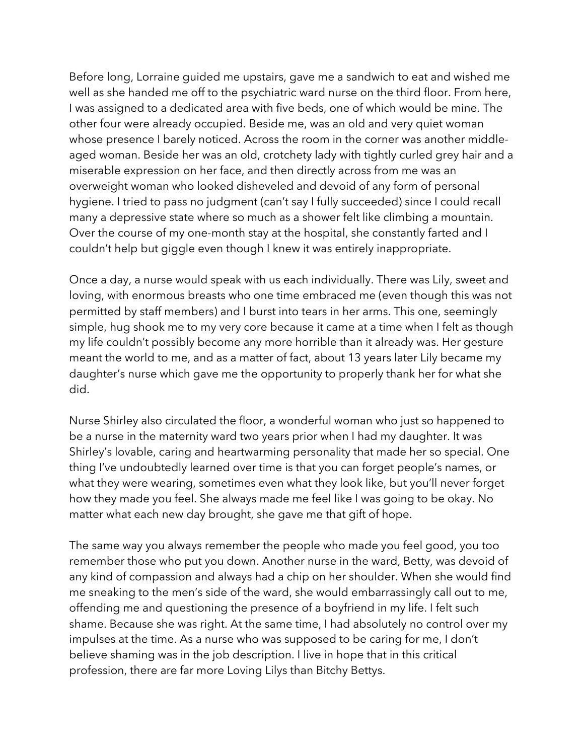Before long, Lorraine guided me upstairs, gave me a sandwich to eat and wished me well as she handed me off to the psychiatric ward nurse on the third floor. From here, I was assigned to a dedicated area with five beds, one of which would be mine. The other four were already occupied. Beside me, was an old and very quiet woman whose presence I barely noticed. Across the room in the corner was another middleaged woman. Beside her was an old, crotchety lady with tightly curled grey hair and a miserable expression on her face, and then directly across from me was an overweight woman who looked disheveled and devoid of any form of personal hygiene. I tried to pass no judgment (can't say I fully succeeded) since I could recall many a depressive state where so much as a shower felt like climbing a mountain. Over the course of my one-month stay at the hospital, she constantly farted and I couldn't help but giggle even though I knew it was entirely inappropriate.

Once a day, a nurse would speak with us each individually. There was Lily, sweet and loving, with enormous breasts who one time embraced me (even though this was not permitted by staff members) and I burst into tears in her arms. This one, seemingly simple, hug shook me to my very core because it came at a time when I felt as though my life couldn't possibly become any more horrible than it already was. Her gesture meant the world to me, and as a matter of fact, about 13 years later Lily became my daughter's nurse which gave me the opportunity to properly thank her for what she did.

Nurse Shirley also circulated the floor, a wonderful woman who just so happened to be a nurse in the maternity ward two years prior when I had my daughter. It was Shirley's lovable, caring and heartwarming personality that made her so special. One thing I've undoubtedly learned over time is that you can forget people's names, or what they were wearing, sometimes even what they look like, but you'll never forget how they made you feel. She always made me feel like I was going to be okay. No matter what each new day brought, she gave me that gift of hope.

The same way you always remember the people who made you feel good, you too remember those who put you down. Another nurse in the ward, Betty, was devoid of any kind of compassion and always had a chip on her shoulder. When she would find me sneaking to the men's side of the ward, she would embarrassingly call out to me, offending me and questioning the presence of a boyfriend in my life. I felt such shame. Because she was right. At the same time, I had absolutely no control over my impulses at the time. As a nurse who was supposed to be caring for me, I don't believe shaming was in the job description. I live in hope that in this critical profession, there are far more Loving Lilys than Bitchy Bettys.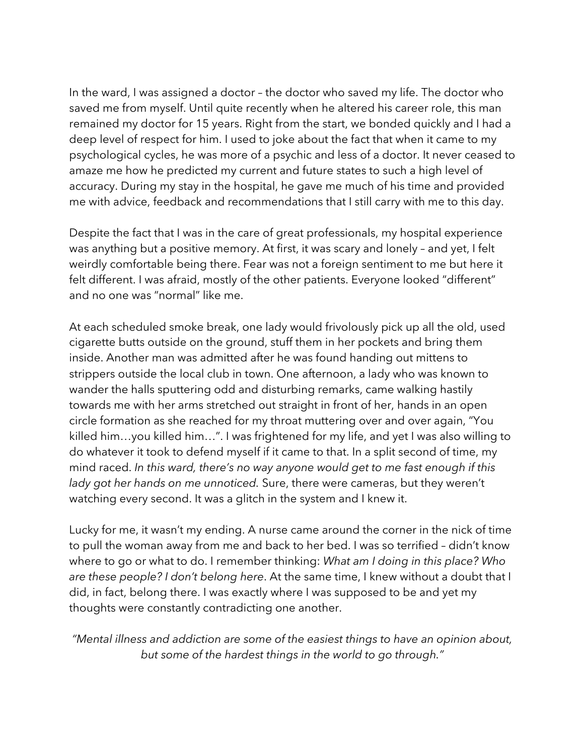In the ward, I was assigned a doctor – the doctor who saved my life. The doctor who saved me from myself. Until quite recently when he altered his career role, this man remained my doctor for 15 years. Right from the start, we bonded quickly and I had a deep level of respect for him. I used to joke about the fact that when it came to my psychological cycles, he was more of a psychic and less of a doctor. It never ceased to amaze me how he predicted my current and future states to such a high level of accuracy. During my stay in the hospital, he gave me much of his time and provided me with advice, feedback and recommendations that I still carry with me to this day.

Despite the fact that I was in the care of great professionals, my hospital experience was anything but a positive memory. At first, it was scary and lonely – and yet, I felt weirdly comfortable being there. Fear was not a foreign sentiment to me but here it felt different. I was afraid, mostly of the other patients. Everyone looked "different" and no one was "normal" like me.

At each scheduled smoke break, one lady would frivolously pick up all the old, used cigarette butts outside on the ground, stuff them in her pockets and bring them inside. Another man was admitted after he was found handing out mittens to strippers outside the local club in town. One afternoon, a lady who was known to wander the halls sputtering odd and disturbing remarks, came walking hastily towards me with her arms stretched out straight in front of her, hands in an open circle formation as she reached for my throat muttering over and over again, "You killed him…you killed him…". I was frightened for my life, and yet I was also willing to do whatever it took to defend myself if it came to that. In a split second of time, my mind raced. *In this ward, there's no way anyone would get to me fast enough if this lady got her hands on me unnoticed.* Sure, there were cameras, but they weren't watching every second. It was a glitch in the system and I knew it.

Lucky for me, it wasn't my ending. A nurse came around the corner in the nick of time to pull the woman away from me and back to her bed. I was so terrified – didn't know where to go or what to do. I remember thinking: *What am I doing in this place? Who are these people? I don't belong here*. At the same time, I knew without a doubt that I did, in fact, belong there. I was exactly where I was supposed to be and yet my thoughts were constantly contradicting one another.

*"Mental illness and addiction are some of the easiest things to have an opinion about, but some of the hardest things in the world to go through."*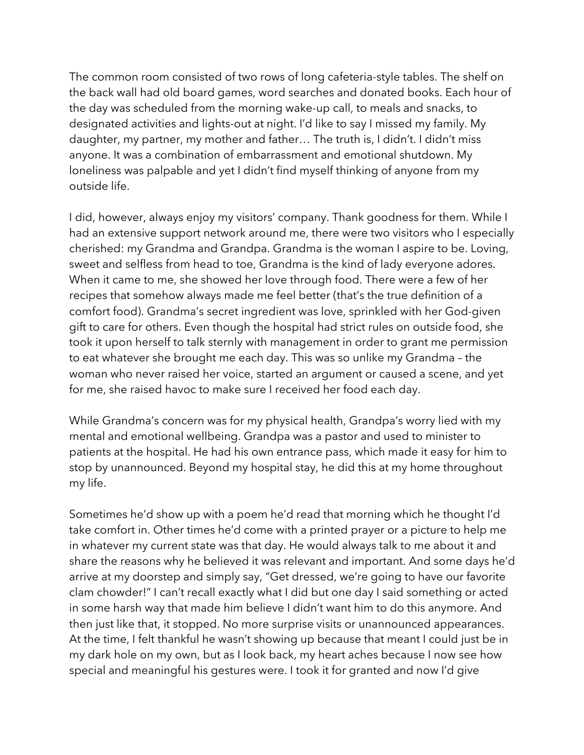The common room consisted of two rows of long cafeteria-style tables. The shelf on the back wall had old board games, word searches and donated books. Each hour of the day was scheduled from the morning wake-up call, to meals and snacks, to designated activities and lights-out at night. I'd like to say I missed my family. My daughter, my partner, my mother and father… The truth is, I didn't. I didn't miss anyone. It was a combination of embarrassment and emotional shutdown. My loneliness was palpable and yet I didn't find myself thinking of anyone from my outside life.

I did, however, always enjoy my visitors' company. Thank goodness for them. While I had an extensive support network around me, there were two visitors who I especially cherished: my Grandma and Grandpa. Grandma is the woman I aspire to be. Loving, sweet and selfless from head to toe, Grandma is the kind of lady everyone adores. When it came to me, she showed her love through food. There were a few of her recipes that somehow always made me feel better (that's the true definition of a comfort food). Grandma's secret ingredient was love, sprinkled with her God-given gift to care for others. Even though the hospital had strict rules on outside food, she took it upon herself to talk sternly with management in order to grant me permission to eat whatever she brought me each day. This was so unlike my Grandma – the woman who never raised her voice, started an argument or caused a scene, and yet for me, she raised havoc to make sure I received her food each day.

While Grandma's concern was for my physical health, Grandpa's worry lied with my mental and emotional wellbeing. Grandpa was a pastor and used to minister to patients at the hospital. He had his own entrance pass, which made it easy for him to stop by unannounced. Beyond my hospital stay, he did this at my home throughout my life.

Sometimes he'd show up with a poem he'd read that morning which he thought I'd take comfort in. Other times he'd come with a printed prayer or a picture to help me in whatever my current state was that day. He would always talk to me about it and share the reasons why he believed it was relevant and important. And some days he'd arrive at my doorstep and simply say, "Get dressed, we're going to have our favorite clam chowder!" I can't recall exactly what I did but one day I said something or acted in some harsh way that made him believe I didn't want him to do this anymore. And then just like that, it stopped. No more surprise visits or unannounced appearances. At the time, I felt thankful he wasn't showing up because that meant I could just be in my dark hole on my own, but as I look back, my heart aches because I now see how special and meaningful his gestures were. I took it for granted and now I'd give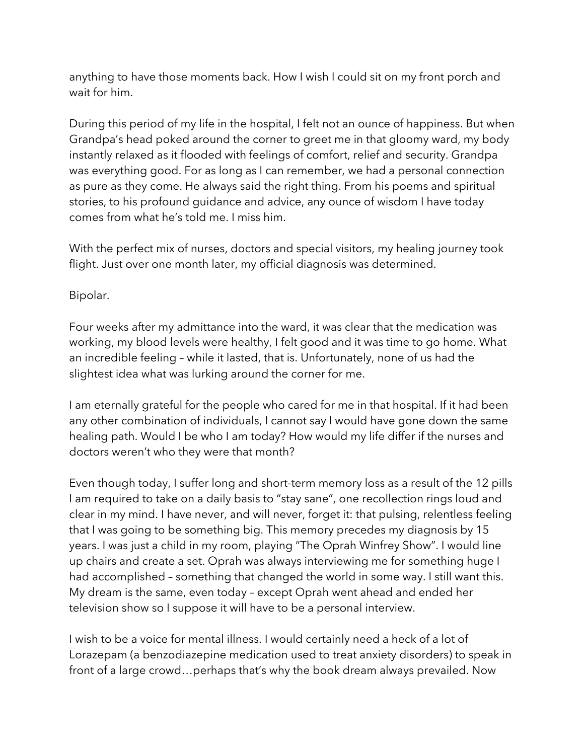anything to have those moments back. How I wish I could sit on my front porch and wait for him.

During this period of my life in the hospital, I felt not an ounce of happiness. But when Grandpa's head poked around the corner to greet me in that gloomy ward, my body instantly relaxed as it flooded with feelings of comfort, relief and security. Grandpa was everything good. For as long as I can remember, we had a personal connection as pure as they come. He always said the right thing. From his poems and spiritual stories, to his profound guidance and advice, any ounce of wisdom I have today comes from what he's told me. I miss him.

With the perfect mix of nurses, doctors and special visitors, my healing journey took flight. Just over one month later, my official diagnosis was determined.

Bipolar.

Four weeks after my admittance into the ward, it was clear that the medication was working, my blood levels were healthy, I felt good and it was time to go home. What an incredible feeling – while it lasted, that is. Unfortunately, none of us had the slightest idea what was lurking around the corner for me.

I am eternally grateful for the people who cared for me in that hospital. If it had been any other combination of individuals, I cannot say I would have gone down the same healing path. Would I be who I am today? How would my life differ if the nurses and doctors weren't who they were that month?

Even though today, I suffer long and short-term memory loss as a result of the 12 pills I am required to take on a daily basis to "stay sane", one recollection rings loud and clear in my mind. I have never, and will never, forget it: that pulsing, relentless feeling that I was going to be something big. This memory precedes my diagnosis by 15 years. I was just a child in my room, playing "The Oprah Winfrey Show". I would line up chairs and create a set. Oprah was always interviewing me for something huge I had accomplished – something that changed the world in some way. I still want this. My dream is the same, even today – except Oprah went ahead and ended her television show so I suppose it will have to be a personal interview.

I wish to be a voice for mental illness. I would certainly need a heck of a lot of Lorazepam (a benzodiazepine medication used to treat anxiety disorders) to speak in front of a large crowd…perhaps that's why the book dream always prevailed. Now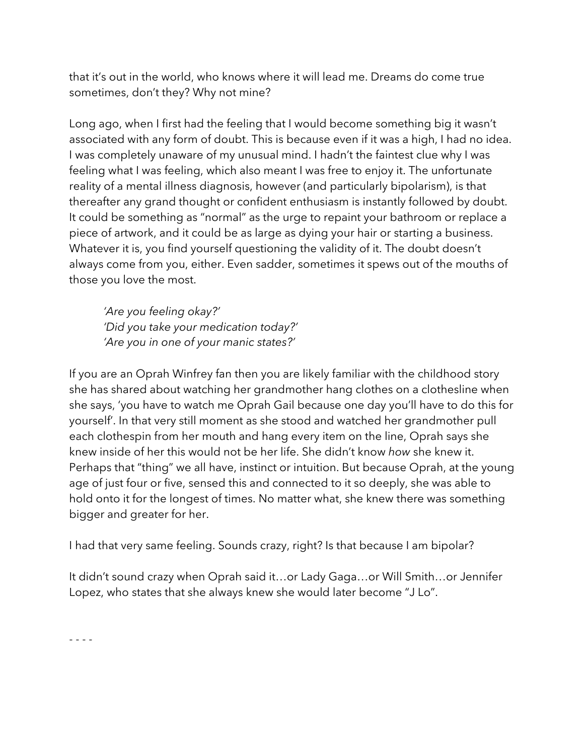that it's out in the world, who knows where it will lead me. Dreams do come true sometimes, don't they? Why not mine?

Long ago, when I first had the feeling that I would become something big it wasn't associated with any form of doubt. This is because even if it was a high, I had no idea. I was completely unaware of my unusual mind. I hadn't the faintest clue why I was feeling what I was feeling, which also meant I was free to enjoy it. The unfortunate reality of a mental illness diagnosis, however (and particularly bipolarism), is that thereafter any grand thought or confident enthusiasm is instantly followed by doubt. It could be something as "normal" as the urge to repaint your bathroom or replace a piece of artwork, and it could be as large as dying your hair or starting a business. Whatever it is, you find yourself questioning the validity of it. The doubt doesn't always come from you, either. Even sadder, sometimes it spews out of the mouths of those you love the most.

*'Are you feeling okay?' 'Did you take your medication today?' 'Are you in one of your manic states?'*

If you are an Oprah Winfrey fan then you are likely familiar with the childhood story she has shared about watching her grandmother hang clothes on a clothesline when she says, 'you have to watch me Oprah Gail because one day you'll have to do this for yourself'. In that very still moment as she stood and watched her grandmother pull each clothespin from her mouth and hang every item on the line, Oprah says she knew inside of her this would not be her life. She didn't know *how* she knew it. Perhaps that "thing" we all have, instinct or intuition. But because Oprah, at the young age of just four or five, sensed this and connected to it so deeply, she was able to hold onto it for the longest of times. No matter what, she knew there was something bigger and greater for her.

I had that very same feeling. Sounds crazy, right? Is that because I am bipolar?

It didn't sound crazy when Oprah said it…or Lady Gaga…or Will Smith…or Jennifer Lopez, who states that she always knew she would later become "J Lo".

- - - -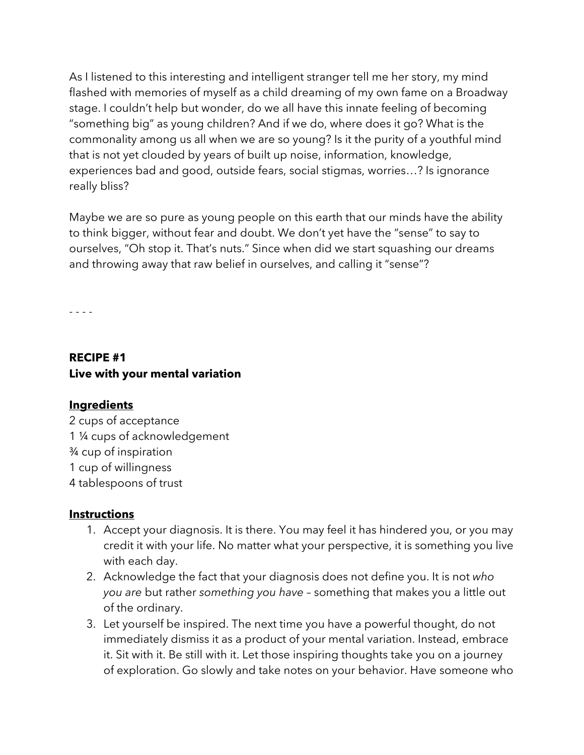As I listened to this interesting and intelligent stranger tell me her story, my mind flashed with memories of myself as a child dreaming of my own fame on a Broadway stage. I couldn't help but wonder, do we all have this innate feeling of becoming "something big" as young children? And if we do, where does it go? What is the commonality among us all when we are so young? Is it the purity of a youthful mind that is not yet clouded by years of built up noise, information, knowledge, experiences bad and good, outside fears, social stigmas, worries…? Is ignorance really bliss?

Maybe we are so pure as young people on this earth that our minds have the ability to think bigger, without fear and doubt. We don't yet have the "sense" to say to ourselves, "Oh stop it. That's nuts." Since when did we start squashing our dreams and throwing away that raw belief in ourselves, and calling it "sense"?

- - - -

#### **RECIPE #1 Live with your mental variation**

#### **Ingredients**

2 cups of acceptance 1 ¼ cups of acknowledgement ¾ cup of inspiration 1 cup of willingness 4 tablespoons of trust

#### **Instructions**

- 1. Accept your diagnosis. It is there. You may feel it has hindered you, or you may credit it with your life. No matter what your perspective, it is something you live with each day.
- 2. Acknowledge the fact that your diagnosis does not define you. It is not *who you are* but rather *something you have* – something that makes you a little out of the ordinary.
- 3. Let yourself be inspired. The next time you have a powerful thought, do not immediately dismiss it as a product of your mental variation. Instead, embrace it. Sit with it. Be still with it. Let those inspiring thoughts take you on a journey of exploration. Go slowly and take notes on your behavior. Have someone who